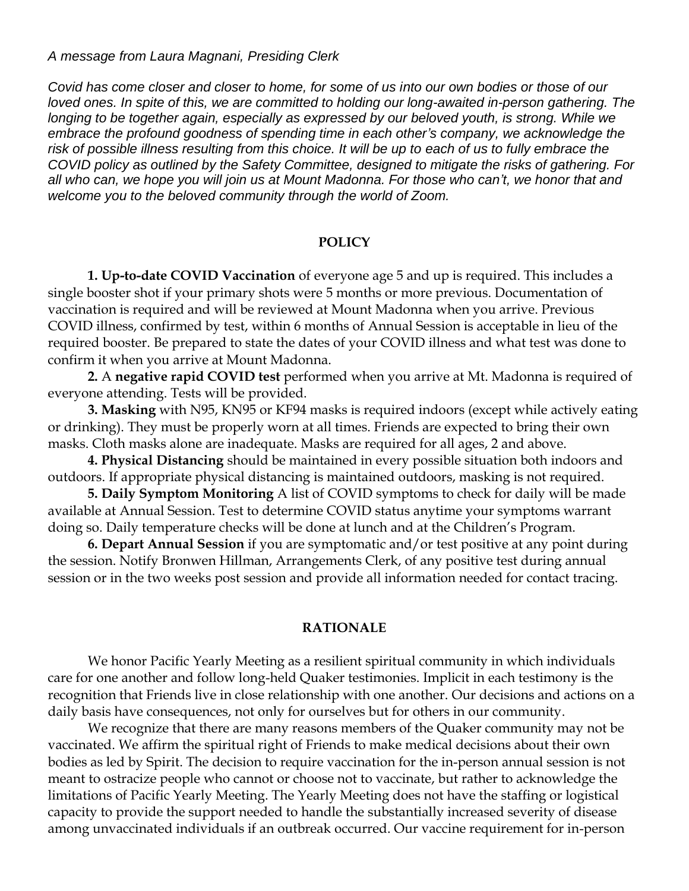*A message from Laura Magnani, Presiding Clerk*

*Covid has come closer and closer to home, for some of us into our own bodies or those of our loved ones. In spite of this, we are committed to holding our long-awaited in-person gathering. The longing to be together again, especially as expressed by our beloved youth, is strong. While we embrace the profound goodness of spending time in each other's company, we acknowledge the risk of possible illness resulting from this choice. It will be up to each of us to fully embrace the COVID policy as outlined by the Safety Committee, designed to mitigate the risks of gathering. For all who can, we hope you will join us at Mount Madonna. For those who can't, we honor that and welcome you to the beloved community through the world of Zoom.* 

## **POLICY**

**1. Up-to-date COVID Vaccination** of everyone age 5 and up is required. This includes a single booster shot if your primary shots were 5 months or more previous. Documentation of vaccination is required and will be reviewed at Mount Madonna when you arrive. Previous COVID illness, confirmed by test, within 6 months of Annual Session is acceptable in lieu of the required booster. Be prepared to state the dates of your COVID illness and what test was done to confirm it when you arrive at Mount Madonna.

**2.** A **negative rapid COVID test** performed when you arrive at Mt. Madonna is required of everyone attending. Tests will be provided.

**3. Masking** with N95, KN95 or KF94 masks is required indoors (except while actively eating or drinking). They must be properly worn at all times. Friends are expected to bring their own masks. Cloth masks alone are inadequate. Masks are required for all ages, 2 and above.

**4. Physical Distancing** should be maintained in every possible situation both indoors and outdoors. If appropriate physical distancing is maintained outdoors, masking is not required.

**5. Daily Symptom Monitoring** A list of COVID symptoms to check for daily will be made available at Annual Session. Test to determine COVID status anytime your symptoms warrant doing so. Daily temperature checks will be done at lunch and at the Children's Program.

**6. Depart Annual Session** if you are symptomatic and/or test positive at any point during the session. Notify Bronwen Hillman, Arrangements Clerk, of any positive test during annual session or in the two weeks post session and provide all information needed for contact tracing.

## **RATIONALE**

We honor Pacific Yearly Meeting as a resilient spiritual community in which individuals care for one another and follow long-held Quaker testimonies. Implicit in each testimony is the recognition that Friends live in close relationship with one another. Our decisions and actions on a daily basis have consequences, not only for ourselves but for others in our community.

We recognize that there are many reasons members of the Quaker community may not be vaccinated. We affirm the spiritual right of Friends to make medical decisions about their own bodies as led by Spirit. The decision to require vaccination for the in-person annual session is not meant to ostracize people who cannot or choose not to vaccinate, but rather to acknowledge the limitations of Pacific Yearly Meeting. The Yearly Meeting does not have the staffing or logistical capacity to provide the support needed to handle the substantially increased severity of disease among unvaccinated individuals if an outbreak occurred. Our vaccine requirement for in-person